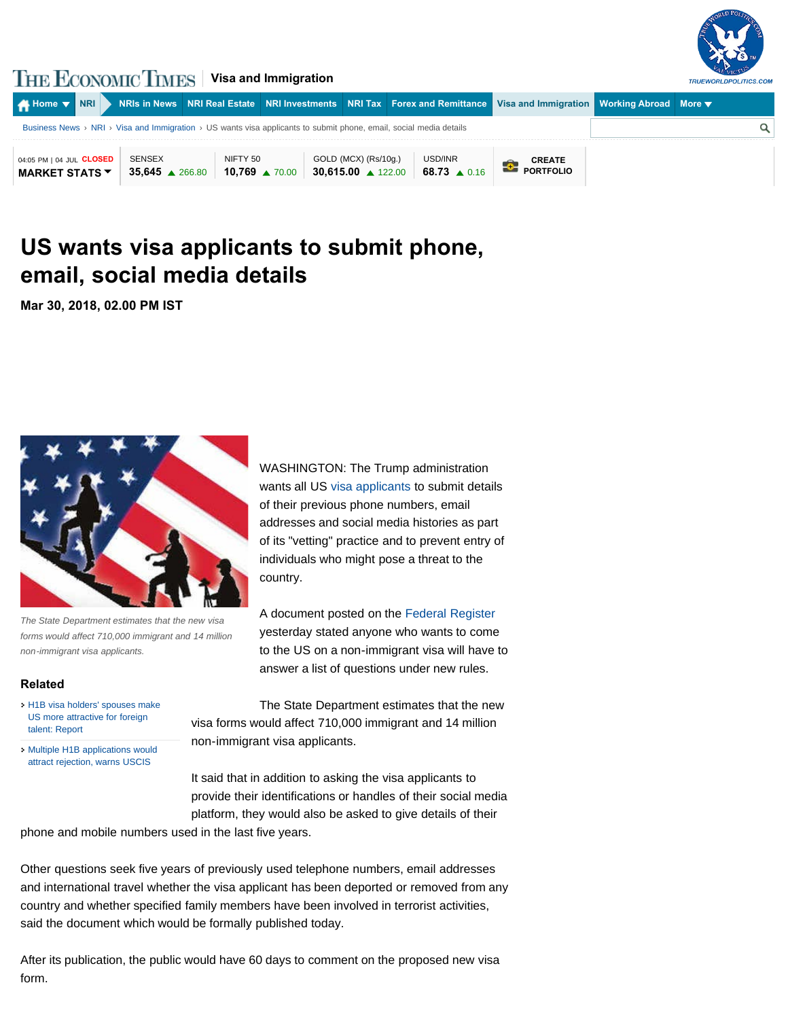

## **THE ECONOMIC TIMES** | Visa and Immigration

| $\blacktriangle$ Home $\blacktriangledown$ NRI                                                                     |                                     |                                        |  |                                                      | NRIs in News NRI Real Estate NRI Investments NRI Tax Forex and Remittance Visa and Immigration Norking Abroad More ▼ |                                   |  |  |
|--------------------------------------------------------------------------------------------------------------------|-------------------------------------|----------------------------------------|--|------------------------------------------------------|----------------------------------------------------------------------------------------------------------------------|-----------------------------------|--|--|
| Business News > NRI > Visa and Immigration > US wants visa applicants to submit phone, email, social media details |                                     |                                        |  |                                                      |                                                                                                                      |                                   |  |  |
| 04:05 PM   04 JUL CLOSED<br><b>MARKET STATS ▼</b>                                                                  | SENSEX<br>$35,645 \triangle 266.80$ | NIFTY 50<br>$10,769$ $\triangle$ 70.00 |  | GOLD (MCX) (Rs/10g.)<br>30.615.00 $\triangle$ 122.00 | USD/INR<br>68.73 $\triangle$ 0.16                                                                                    | <b>CREATE</b><br><b>PORTFOLIO</b> |  |  |

## **[US wants visa applicants to submit phone,](https://economictimes.indiatimes.com/nri/visa-and-immigration/us-wants-visa-applicants-to-submit-phone-email-social-media-details/articleshow/63542759.cms) email, social media details**

**Mar 30, 2018, 02.00 PM IST** 



*The State Department estimates that the new visa forms would affect 710,000 immigrant and 14 million non-immigrant visa applicants.*

## **Related**

- [H1B visa holders' spouses make](https://economictimes.indiatimes.com/h1b-visa-holders-spouses-make-us-more-attractive-for-foreign-talent-report/articleshow/63542707.cms) [US more attractive for foreign](https://economictimes.indiatimes.com/h1b-visa-holders-spouses-make-us-more-attractive-for-foreign-talent-report/articleshow/63542707.cms) [talent: Report](https://economictimes.indiatimes.com/h1b-visa-holders-spouses-make-us-more-attractive-for-foreign-talent-report/articleshow/63542707.cms)
- [Multiple H1B applications would](https://economictimes.indiatimes.com/nri/visa-and-immigration/multiple-h1b-applications-would-attract-rejection-warns-uscis/articleshow/63542001.cms) [attract rejection, warns USCIS](https://economictimes.indiatimes.com/nri/visa-and-immigration/multiple-h1b-applications-would-attract-rejection-warns-uscis/articleshow/63542001.cms)

WASHINGT[ON: The Trump](https://economictimes.indiatimes.com/topic/visa-applicants) administration wants all US visa applicants to submit details of their previous phone numbers, email addresses and social media histories as part of its "vetting" practice and to prevent entry of individuals who might pose a threat to the country.

A document posted on the Federal Register yesterday stated anyone who wants to come to the US on a non-immigrant visa will have to answer a list of questions under new rules.

The State Department estimates that the new visa forms would affect 710,000 immigrant and 14 million non-immigrant visa applicants.

It said that in addition to asking the visa applicants to provide their identifications or handles of their social media platform, they would also be asked to give details of their

phone and mobile numbers used in the last five years.

Other questions seek five years of previously used telephone numbers, email addresses and international travel whether the visa applicant has been deported or removed from any country and whether specified family members have been involved in terrorist activities, said the document which would be formally published today.

After its publication, the public would have 60 days to comment on the proposed new visa form.